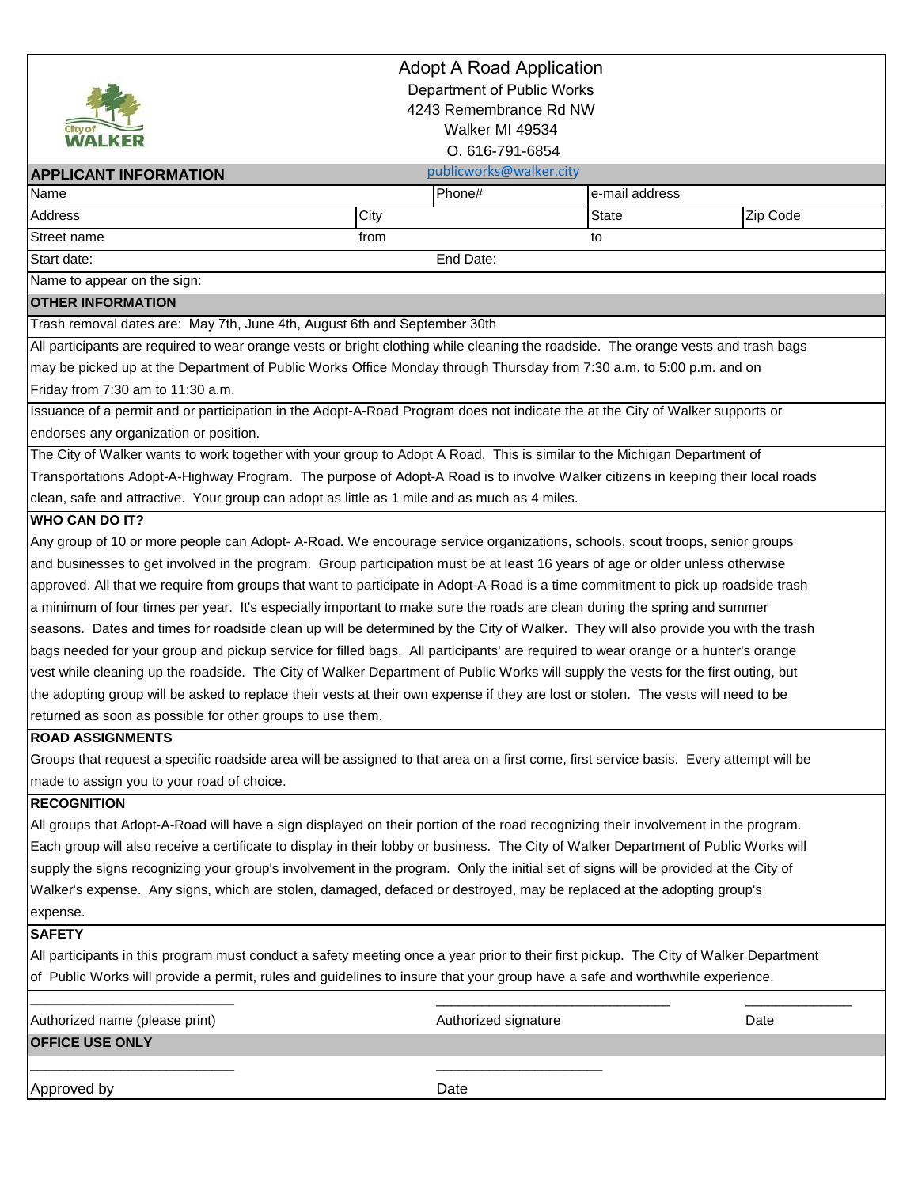

### Adopt A Road Application Department of Public Works

# 4243 Remembrance Rd NW

# Walker MI 49534

O. 616-791-6854

|                                                         |                                                                                                                                    | 0. 010773170004 |                |  |  |
|---------------------------------------------------------|------------------------------------------------------------------------------------------------------------------------------------|-----------------|----------------|--|--|
| publicworks@walker.city<br><b>APPLICANT INFORMATION</b> |                                                                                                                                    |                 |                |  |  |
| Name                                                    | Phone#                                                                                                                             |                 | e-mail address |  |  |
| Address                                                 | City                                                                                                                               | <b>State</b>    | Zip Code       |  |  |
| Street name                                             | from                                                                                                                               | to              |                |  |  |
| Start date:                                             | End Date:                                                                                                                          |                 |                |  |  |
| Name to appear on the sign:                             |                                                                                                                                    |                 |                |  |  |
| <b>OTHER INFORMATION</b>                                |                                                                                                                                    |                 |                |  |  |
|                                                         | Trash removal dates are: May 7th, June 4th, August 6th and September 30th                                                          |                 |                |  |  |
|                                                         | All participants are required to wear orange vests or bright clothing while cleaning the roadside. The orange vests and trash bags |                 |                |  |  |
|                                                         | may be picked up at the Department of Public Works Office Monday through Thursday from 7:30 a.m. to 5:00 p.m. and on               |                 |                |  |  |
| Friday from 7:30 am to 11:30 a.m.                       |                                                                                                                                    |                 |                |  |  |
|                                                         | Issuance of a permit and or participation in the Adopt-A-Road Program does not indicate the at the City of Walker supports or      |                 |                |  |  |
| endorses any organization or position.                  |                                                                                                                                    |                 |                |  |  |
|                                                         | The City of Walker wants to work together with your group to Adopt A Road. This is similar to the Michigan Department of           |                 |                |  |  |
|                                                         | Transportations Adopt-A-Highway Program. The purpose of Adopt-A Road is to involve Walker citizens in keeping their local roads    |                 |                |  |  |
|                                                         | clean, safe and attractive. Your group can adopt as little as 1 mile and as much as 4 miles.                                       |                 |                |  |  |
| <b>WHO CAN DO IT?</b>                                   |                                                                                                                                    |                 |                |  |  |
|                                                         | Any group of 10 or more people can Adopt-A-Road. We encourage service organizations, schools, scout troops, senior groups          |                 |                |  |  |
|                                                         | and businesses to get involved in the program. Group participation must be at least 16 years of age or older unless otherwise      |                 |                |  |  |
|                                                         | approved. All that we require from groups that want to participate in Adopt-A-Road is a time commitment to pick up roadside trash  |                 |                |  |  |
|                                                         | a minimum of four times per year. It's especially important to make sure the roads are clean during the spring and summer          |                 |                |  |  |
|                                                         | seasons. Dates and times for roadside clean up will be determined by the City of Walker. They will also provide you with the trash |                 |                |  |  |
|                                                         | bags needed for your group and pickup service for filled bags. All participants' are required to wear orange or a hunter's orange  |                 |                |  |  |

vest while cleaning up the roadside. The City of Walker Department of Public Works will supply the vests for the first outing, but the adopting group will be asked to replace their vests at their own expense if they are lost or stolen. The vests will need to be returned as soon as possible for other groups to use them.

#### **ROAD ASSIGNMENTS**

Groups that request a specific roadside area will be assigned to that area on a first come, first service basis. Every attempt will be made to assign you to your road of choice.

#### **RECOGNITION**

All groups that Adopt-A-Road will have a sign displayed on their portion of the road recognizing their involvement in the program. Each group will also receive a certificate to display in their lobby or business. The City of Walker Department of Public Works will supply the signs recognizing your group's involvement in the program. Only the initial set of signs will be provided at the City of Walker's expense. Any signs, which are stolen, damaged, defaced or destroyed, may be replaced at the adopting group's expense.

#### **SAFETY**

All participants in this program must conduct a safety meeting once a year prior to their first pickup. The City of Walker Department of Public Works will provide a permit, rules and guidelines to insure that your group have a safe and worthwhile experience.

| Authorized name (please print) | Authorized signature | Date |
|--------------------------------|----------------------|------|
| <b>OFFICE USE ONLY</b>         |                      |      |
|                                |                      |      |
| Approved by                    | Date                 |      |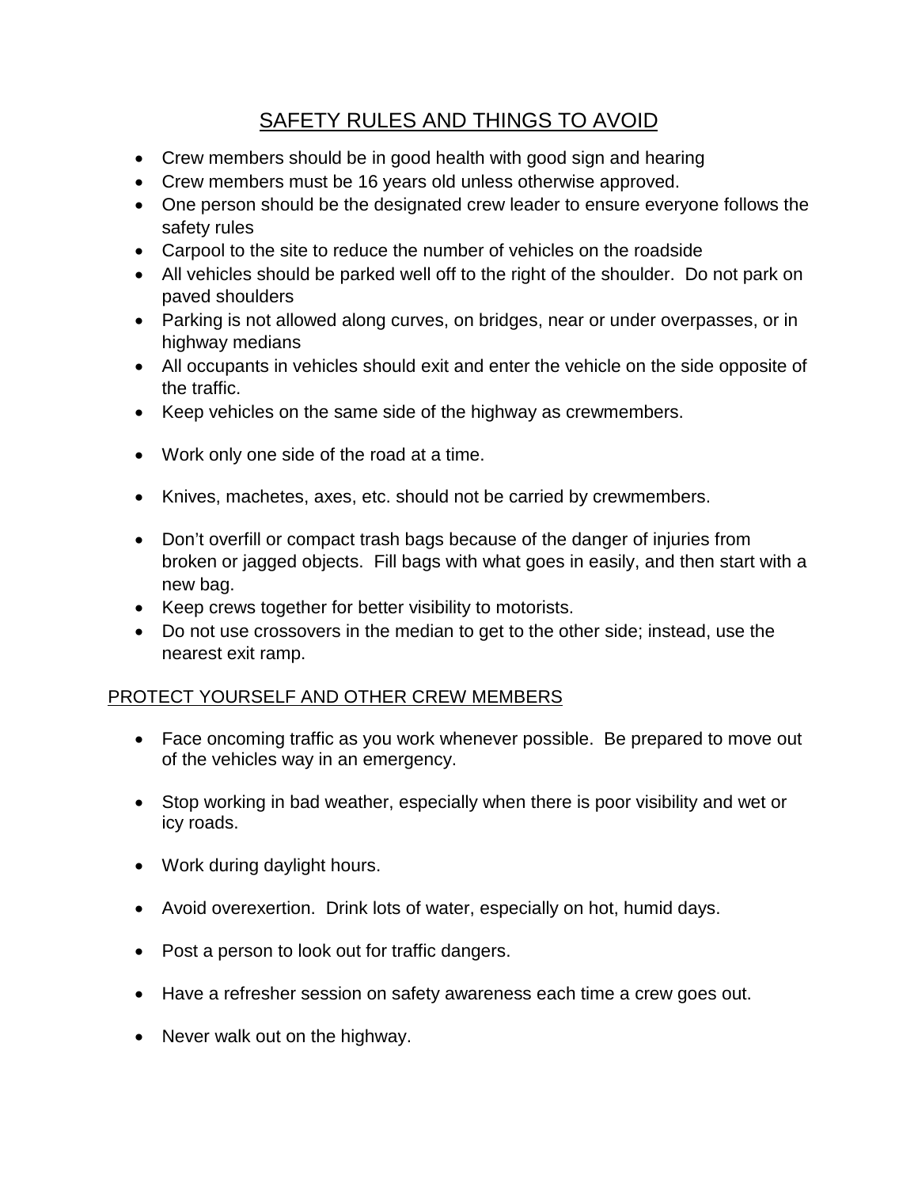# SAFETY RULES AND THINGS TO AVOID

- Crew members should be in good health with good sign and hearing
- Crew members must be 16 years old unless otherwise approved.
- One person should be the designated crew leader to ensure everyone follows the safety rules
- Carpool to the site to reduce the number of vehicles on the roadside
- All vehicles should be parked well off to the right of the shoulder. Do not park on paved shoulders
- Parking is not allowed along curves, on bridges, near or under overpasses, or in highway medians
- All occupants in vehicles should exit and enter the vehicle on the side opposite of the traffic.
- Keep vehicles on the same side of the highway as crewmembers.
- Work only one side of the road at a time.
- Knives, machetes, axes, etc. should not be carried by crewmembers.
- Don't overfill or compact trash bags because of the danger of injuries from broken or jagged objects. Fill bags with what goes in easily, and then start with a new bag.
- Keep crews together for better visibility to motorists.
- Do not use crossovers in the median to get to the other side; instead, use the nearest exit ramp.

# PROTECT YOURSELF AND OTHER CREW MEMBERS

- Face oncoming traffic as you work whenever possible. Be prepared to move out of the vehicles way in an emergency.
- Stop working in bad weather, especially when there is poor visibility and wet or icy roads.
- Work during daylight hours.
- Avoid overexertion. Drink lots of water, especially on hot, humid days.
- Post a person to look out for traffic dangers.
- Have a refresher session on safety awareness each time a crew goes out.
- Never walk out on the highway.